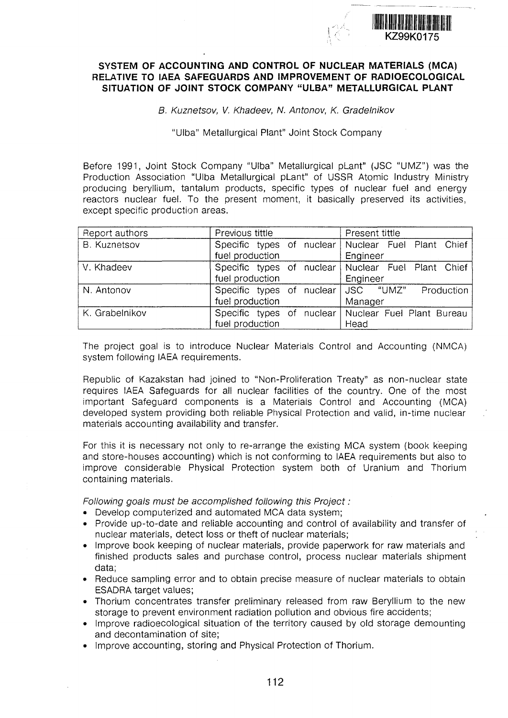

## **SYSTEM OF ACCOUNTING AND CONTROL OF NUCLEAR MATERIALS (MCA) RELATIVE TO IAEA SAFEGUARDS AND IMPROVEMENT OF RADIOECOLOGICAL** SITUATION OF JOINT STOCK COMPANY "ULBA" METALLURGICAL PLANT

B. Kuznetsov, V. Khadeev, N. Antonov, K. Gradelnikov

"Ulba" Metallurgical Plant" Joint Stock Company "Ulba" Metallurgical Plant" Joint Stock Company

Before 1991, Joint Stock Company "Ulba" Metallurgical pLant" (JSC "UMZ") was the Production Association "Ulba Metallurgical pLant" of USSR Atomic Industry Ministry producing beryllium, tantalum products, specific types of nuclear fuel and energy reactors nuclear fuel. To the present moment, it basically preserved its activities, except specific production areas.

| Report authors      | Previous tittle           | Present tittle            |
|---------------------|---------------------------|---------------------------|
| <b>B. Kuznetsov</b> | Specific types of nuclear | Nuclear Fuel Plant Chief  |
|                     | fuel production           | Engineer                  |
| V. Khadeev          | Specific types of nuclear | Nuclear Fuel Plant Chief  |
|                     | fuel production           | Engineer                  |
| N. Antonov          | Specific types of nuclear | ∣JSC "UMZ"<br>Production  |
|                     | fuel production           | Manager                   |
| K. Grabelnikov      | Specific types of nuclear | Nuclear Fuel Plant Bureau |
|                     | fuel production           | Head                      |

The project goal is to introduce Nuclear Materials Control and Accounting (NMCA) system following IAEA requirements.

Republic of Kazakstan had joined to "Non-Proliferation Treaty" as non-nuclear state requires IAEA Safeguards for all nuclear facilities of the country. One of the most important Safeguard components is a Materials Control and Accounting (MCA) developed system providing both reliable Physical Protection and valid, in-time nuclear materials accounting availability and transfer.

For this it is necessary not only to re-arrange the existing MCA system (book keeping and store-houses accounting) which is not conforming to IAEA requirements but also to improve considerable Physical Protection system both of Uranium and Thorium containing materials.

Following goals must be accomplished following this Project:

- Develop computerized and automated MCA data system;
- Provide up-to-date and reliable accounting and control of availability and transfer of nuclear materials, detect loss or theft of nuclear materials;
- Improve book keeping of nuclear materials, provide paperwork for raw materials and finished products sales and purchase control, process nuclear materials shipment data;
- Reduce sampling error and to obtain precise measure of nuclear materials to obtain ESADRA target values;
- Thorium concentrates transfer preliminary released from raw Beryllium to the new storage to prevent environment radiation pollution and obvious fire accidents;
- Improve radioecological situation of the territory caused by old storage demounting and decontamination of site;
- Improve accounting, storing and Physical Protection of Thorium.